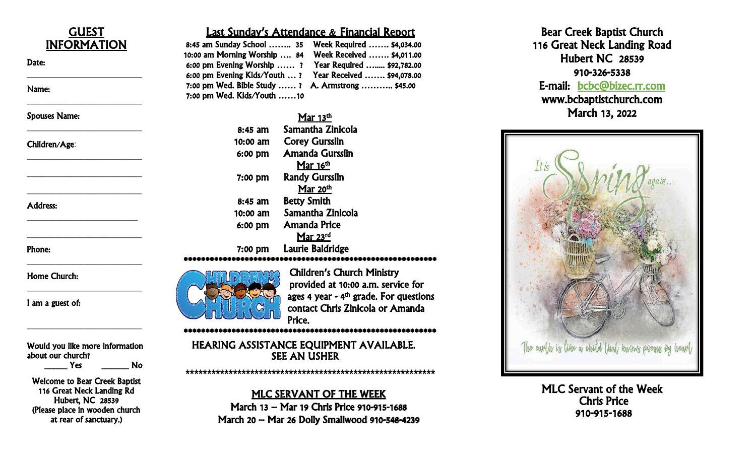

Hubert, NC 28539 (Please place in wooden church at rear of sanctuary.)

#### MLC SERVANT OF THE WEEK

March 13 – Mar 19 Chris Price 910 -915 -1688 March 20 – Mar 26 Dolly Smallwood 910 -548 -4239

Bear Cree k Baptist Church 116 Great Neck Landing Road Hubert NC 28539 910 -326 E-mail: bcbc@bizec.rr.com www .bcbaptistchurch.com March 13, 2022



MLC Servant of the Week<br>Chris Price<br>910-915-1688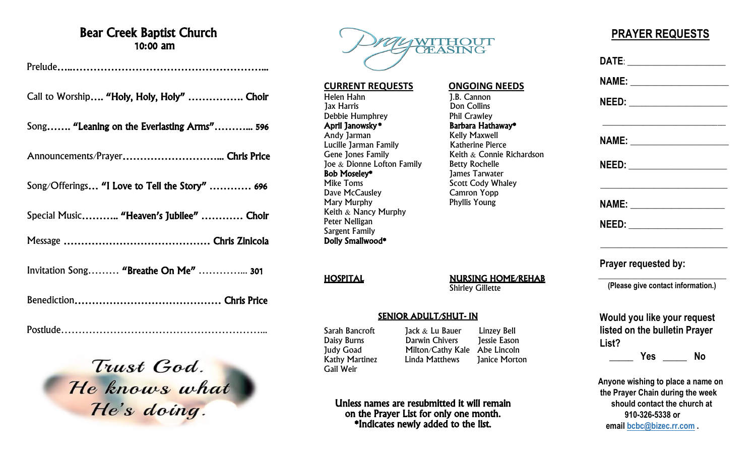### Bear Creek Baptist Church 10:00 am

Prelude…..………………………………………………...

Call to Worship…. "Holy, Holy, Holy" ……………. Choir

Song……. "Leaning on the Everlasting Arms"………... 596

Announcements/Prayer………………………... Chris Price

Song/Offerings… "I Love to Tell the Story" ………… 696

Special Music……….. "Heaven's Jubilee" ………… Choir

Message …………………………………… Chris Zinicola

Invitation Song……… "Breathe On Me" …………... 301

Benediction…………………………………… Chris Price

Postlude…………………………………………………...

Trust God.<br>He knows what



**CURRENT REQUESTS ONGOING NEEDS** Helen Hahn J.B. Cannon Debbie Humphrey<br> **April Janowsky** Andy Jarman Kelly Maxwell Lucille Jarman Family Katherine Pierce Gene Jones Family  $\qquad \qquad$  Keith  $\&$  Connie Richardson Joe & Dionne Lofton Family Betty Rochelle<br> **Bob Moseley\*** 1ames Tarwate **Bob Moseley\*** James Tarwater<br>Mike Toms **Music Scott Cody What** Dave McCausley Camron Yopp Mary Murphy Keith & Nancy Murphy Peter Nelligan Sargent Family Dolly Smallwood\*

HOSPITAL NURSING HOME/REHAB Shirley Gillette

#### SENIOR ADULT/SHUT- IN

Kathy Martinez Linda Matthews Gail Weir

Sarah Bancroft Jack & Lu Bauer Linzey Bell Daisy Burns Darwin Chivers Jessie Eason Judy Goad **Milton/Cathy Kale Abe Lincoln**<br>
Kathy Martinez **Linda Matthews** Ianice Morton

Don Collins<br>Phil Crawley

Barbara Hathaway\*

Scott Cody Whaley<br>Camron Yopp

Unless names are resubmitted it will remain on the Prayer List for only one month. \*Indicates newly added to the list.

## **PRAYER REQUESTS**

|       |                      | NAME: _________________________    |
|-------|----------------------|------------------------------------|
|       |                      |                                    |
|       |                      |                                    |
|       |                      |                                    |
|       |                      | NAME: ________________________     |
|       |                      | NEED: _____________________        |
|       | Prayer requested by: |                                    |
|       |                      | (Please give contact information.) |
|       |                      | Would you like your request        |
|       |                      | listed on the bulletin Prayer      |
| List? |                      |                                    |

 **the Prayer Chain during the week should contact the church at 910-326-5338 or email [bcbc@bizec.rr.com](mailto:bcbc@bizec.rr.com) .**